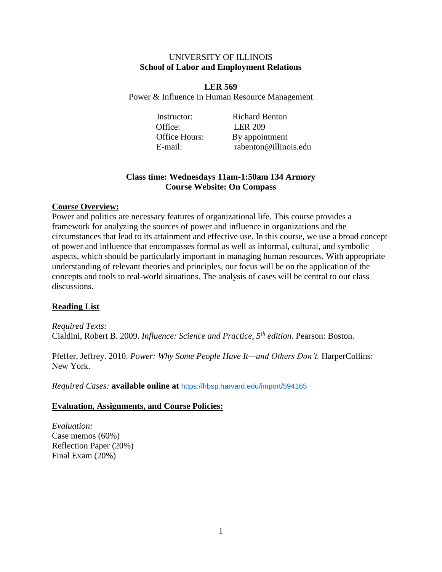#### UNIVERSITY OF ILLINOIS **School of Labor and Employment Relations**

**LER 569** Power & Influence in Human Resource Management

Office: LER 209

Instructor: Richard Benton Office Hours: By appointment E-mail: rabenton@illinois.edu

## **Class time: Wednesdays 11am-1:50am 134 Armory Course Website: On Compass**

## **Course Overview:**

Power and politics are necessary features of organizational life. This course provides a framework for analyzing the sources of power and influence in organizations and the circumstances that lead to its attainment and effective use. In this course, we use a broad concept of power and influence that encompasses formal as well as informal, cultural, and symbolic aspects, which should be particularly important in managing human resources. With appropriate understanding of relevant theories and principles, our focus will be on the application of the concepts and tools to real-world situations. The analysis of cases will be central to our class discussions.

# **Reading List**

*Required Texts:* Cialdini, Robert B. 2009. *Influence: Science and Practice, 5th edition.* Pearson: Boston.

Pfeffer, Jeffrey. 2010. *Power: Why Some People Have It—and Others Don't*. HarperCollins: New York.

*Required Cases:* **available online at** <https://hbsp.harvard.edu/import/594165>

## **Evaluation, Assignments, and Course Policies:**

*Evaluation:* Case memos (60%) Reflection Paper (20%) Final Exam (20%)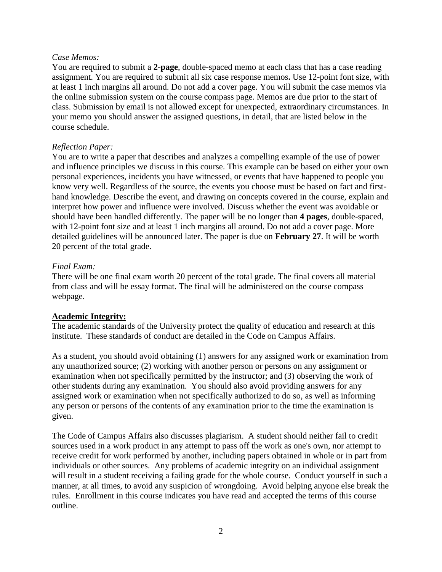### *Case Memos:*

You are required to submit a **2-page**, double-spaced memo at each class that has a case reading assignment. You are required to submit all six case response memos**.** Use 12-point font size, with at least 1 inch margins all around. Do not add a cover page. You will submit the case memos via the online submission system on the course compass page. Memos are due prior to the start of class. Submission by email is not allowed except for unexpected, extraordinary circumstances. In your memo you should answer the assigned questions, in detail, that are listed below in the course schedule.

## *Reflection Paper:*

You are to write a paper that describes and analyzes a compelling example of the use of power and influence principles we discuss in this course. This example can be based on either your own personal experiences, incidents you have witnessed, or events that have happened to people you know very well. Regardless of the source, the events you choose must be based on fact and firsthand knowledge. Describe the event, and drawing on concepts covered in the course, explain and interpret how power and influence were involved. Discuss whether the event was avoidable or should have been handled differently. The paper will be no longer than **4 pages**, double-spaced, with 12-point font size and at least 1 inch margins all around. Do not add a cover page. More detailed guidelines will be announced later. The paper is due on **February 27**. It will be worth 20 percent of the total grade.

## *Final Exam:*

There will be one final exam worth 20 percent of the total grade. The final covers all material from class and will be essay format. The final will be administered on the course compass webpage.

# **Academic Integrity:**

The academic standards of the University protect the quality of education and research at this institute. These standards of conduct are detailed in the Code on Campus Affairs.

As a student, you should avoid obtaining (1) answers for any assigned work or examination from any unauthorized source; (2) working with another person or persons on any assignment or examination when not specifically permitted by the instructor; and (3) observing the work of other students during any examination. You should also avoid providing answers for any assigned work or examination when not specifically authorized to do so, as well as informing any person or persons of the contents of any examination prior to the time the examination is given.

The Code of Campus Affairs also discusses plagiarism. A student should neither fail to credit sources used in a work product in any attempt to pass off the work as one's own, nor attempt to receive credit for work performed by another, including papers obtained in whole or in part from individuals or other sources. Any problems of academic integrity on an individual assignment will result in a student receiving a failing grade for the whole course. Conduct yourself in such a manner, at all times, to avoid any suspicion of wrongdoing. Avoid helping anyone else break the rules. Enrollment in this course indicates you have read and accepted the terms of this course outline.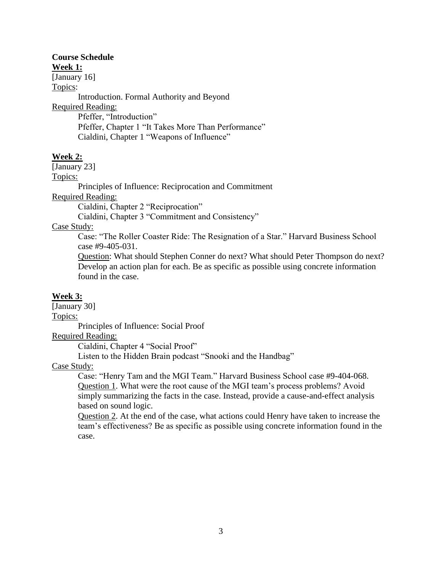## **Course Schedule**

**Week 1:**

[January 16]

Topics:

Introduction. Formal Authority and Beyond Required Reading: Pfeffer, "Introduction" Pfeffer, Chapter 1 "It Takes More Than Performance"

Cialdini, Chapter 1 "Weapons of Influence"

## **Week 2:**

[January 23]

Topics:

Principles of Influence: Reciprocation and Commitment

Required Reading:

Cialdini, Chapter 2 "Reciprocation"

Cialdini, Chapter 3 "Commitment and Consistency"

Case Study:

Case: "The Roller Coaster Ride: The Resignation of a Star." Harvard Business School case #9-405-031.

Question: What should Stephen Conner do next? What should Peter Thompson do next? Develop an action plan for each. Be as specific as possible using concrete information found in the case.

#### **Week 3:**

[January 30] Topics: Principles of Influence: Social Proof

Required Reading:

Cialdini, Chapter 4 "Social Proof"

Listen to the Hidden Brain podcast "Snooki and the Handbag"

Case Study:

Case: "Henry Tam and the MGI Team." Harvard Business School case #9-404-068. Question 1. What were the root cause of the MGI team's process problems? Avoid simply summarizing the facts in the case. Instead, provide a cause-and-effect analysis based on sound logic.

Question 2. At the end of the case, what actions could Henry have taken to increase the team's effectiveness? Be as specific as possible using concrete information found in the case.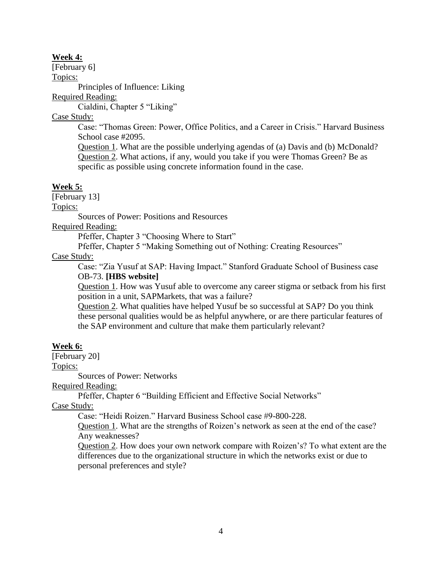### **Week 4:**

[February 6]

Topics:

Principles of Influence: Liking

Required Reading:

Cialdini, Chapter 5 "Liking"

Case Study:

Case: "Thomas Green: Power, Office Politics, and a Career in Crisis." Harvard Business School case #2095.

Question 1. What are the possible underlying agendas of (a) Davis and (b) McDonald? Question 2. What actions, if any, would you take if you were Thomas Green? Be as specific as possible using concrete information found in the case.

# **Week 5:**

[February 13]

Topics:

Sources of Power: Positions and Resources

Required Reading:

Pfeffer, Chapter 3 "Choosing Where to Start"

Pfeffer, Chapter 5 "Making Something out of Nothing: Creating Resources"

## Case Study:

Case: "Zia Yusuf at SAP: Having Impact." Stanford Graduate School of Business case OB-73. **[HBS website]**

Question 1. How was Yusuf able to overcome any career stigma or setback from his first position in a unit, SAPMarkets, that was a failure?

Question 2. What qualities have helped Yusuf be so successful at SAP? Do you think these personal qualities would be as helpful anywhere, or are there particular features of the SAP environment and culture that make them particularly relevant?

# **Week 6:**

[February 20]

Topics:

Sources of Power: Networks

Required Reading:

Pfeffer, Chapter 6 "Building Efficient and Effective Social Networks"

Case Study:

Case: "Heidi Roizen." Harvard Business School case #9-800-228.

Question 1. What are the strengths of Roizen's network as seen at the end of the case? Any weaknesses?

Question 2. How does your own network compare with Roizen's? To what extent are the differences due to the organizational structure in which the networks exist or due to personal preferences and style?